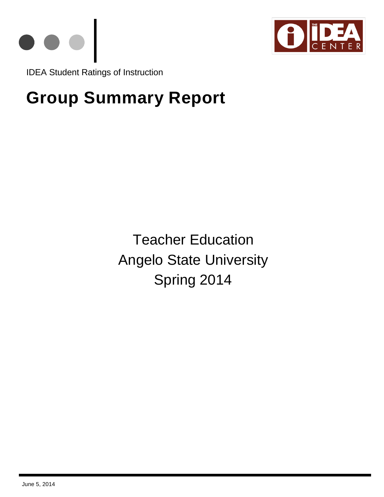



IDEA Student Ratings of Instruction

# **Group Summary Report**

Teacher Education Angelo State University Spring 2014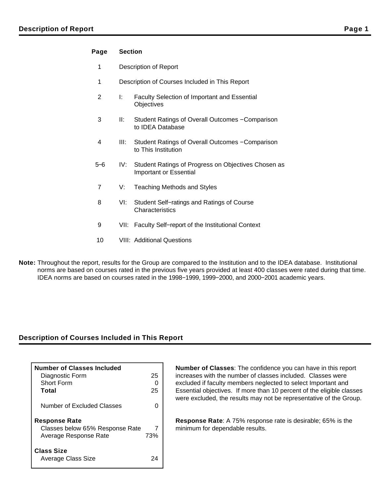## **Page Section**

- 1 Description of Report
- 1 Description of Courses Included in This Report
- 2 I: Faculty Selection of Important and Essential **Objectives**
- 3 II: Student Ratings of Overall Outcomes − Comparison to IDEA Database
- 4 III: Student Ratings of Overall Outcomes − Comparison to This Institution
- 5−6 IV: Student Ratings of Progress on Objectives Chosen as Important or Essential
- 7 V: Teaching Methods and Styles
- 8 VI: Student Self−ratings and Ratings of Course **Characteristics**
- 9 VII: Faculty Self–report of the Institutional Context
- 10 VIII: Additional Questions
- **Note:** Throughout the report, results for the Group are compared to the Institution and to the IDEA database. Institutional norms are based on courses rated in the previous five years provided at least 400 classes were rated during that time. IDEA norms are based on courses rated in the 1998−1999, 1999−2000, and 2000−2001 academic years.

## **Description of Courses Included in This Report**

| <b>Number of Classes Included</b><br>Diagnostic Form<br><b>Short Form</b><br>Total | 25<br>25 |
|------------------------------------------------------------------------------------|----------|
| Number of Excluded Classes                                                         |          |
| <b>Response Rate</b><br>Classes below 65% Response Rate<br>Average Response Rate   | 73%      |
| <b>Class Size</b><br>Average Class Size                                            |          |

**Number of Classes**: The confidence you can have in this report increases with the number of classes included. Classes were excluded if faculty members neglected to select Important and Essential objectives. If more than 10 percent of the eligible classes were excluded, the results may not be representative of the Group.

**Response Rate**: A 75% response rate is desirable; 65% is the minimum for dependable results.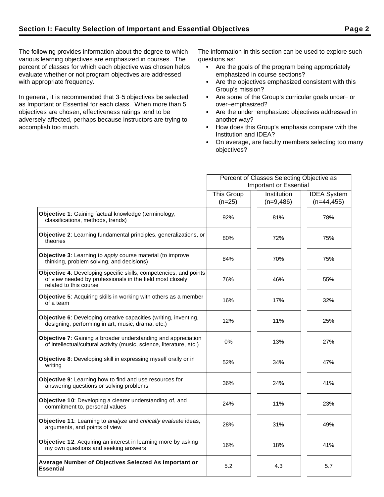The following provides information about the degree to which various learning objectives are emphasized in courses. The percent of classes for which each objective was chosen helps evaluate whether or not program objectives are addressed with appropriate frequency.

In general, it is recommended that 3−5 objectives be selected as Important or Essential for each class. When more than 5 objectives are chosen, effectiveness ratings tend to be adversely affected, perhaps because instructors are trying to accomplish too much.

The information in this section can be used to explore such questions as:

- Are the goals of the program being appropriately emphasized in course sections?
- Are the objectives emphasized consistent with this Group's mission?
- Are some of the Group's curricular goals under− or over−emphasized?
- Are the under−emphasized objectives addressed in another way?
- How does this Group's emphasis compare with the Institution and IDEA?
- On average, are faculty members selecting too many objectives?

|                                                                                                                                                          | Percent of Classes Selecting Objective as |                            |                                     |  |  |
|----------------------------------------------------------------------------------------------------------------------------------------------------------|-------------------------------------------|----------------------------|-------------------------------------|--|--|
|                                                                                                                                                          | <b>Important or Essential</b>             |                            |                                     |  |  |
|                                                                                                                                                          | <b>This Group</b><br>$(n=25)$             | Institution<br>$(n=9,486)$ | <b>IDEA</b> System<br>$(n=44, 455)$ |  |  |
| Objective 1: Gaining factual knowledge (terminology,<br>classifications, methods, trends)                                                                | 92%                                       | 81%                        | 78%                                 |  |  |
| <b>Objective 2:</b> Learning fundamental principles, generalizations, or<br>theories                                                                     | 80%                                       | 72%                        | 75%                                 |  |  |
| Objective 3: Learning to apply course material (to improve<br>thinking, problem solving, and decisions)                                                  | 84%                                       | 70%                        | 75%                                 |  |  |
| Objective 4: Developing specific skills, competencies, and points<br>of view needed by professionals in the field most closely<br>related to this course | 76%                                       | 46%                        | 55%                                 |  |  |
| Objective 5: Acquiring skills in working with others as a member<br>of a team                                                                            | 16%                                       | 17%                        | 32%                                 |  |  |
| Objective 6: Developing creative capacities (writing, inventing,<br>designing, performing in art, music, drama, etc.)                                    | 12%                                       | 11%                        | 25%                                 |  |  |
| <b>Objective 7:</b> Gaining a broader understanding and appreciation<br>of intellectual/cultural activity (music, science, literature, etc.)             | $0\%$                                     | 13%                        | 27%                                 |  |  |
| Objective 8: Developing skill in expressing myself orally or in<br>writing                                                                               | 52%                                       | 34%                        | 47%                                 |  |  |
| Objective 9: Learning how to find and use resources for<br>answering questions or solving problems                                                       | 36%                                       | 24%                        | 41%                                 |  |  |
| Objective 10: Developing a clearer understanding of, and<br>commitment to, personal values                                                               | 24%                                       | 11%                        | 23%                                 |  |  |
| Objective 11: Learning to analyze and critically evaluate ideas,<br>arguments, and points of view                                                        | 28%                                       | 31%                        | 49%                                 |  |  |
| Objective 12: Acquiring an interest in learning more by asking<br>my own questions and seeking answers                                                   | 16%                                       | 18%                        | 41%                                 |  |  |
| Average Number of Objectives Selected As Important or<br><b>Essential</b>                                                                                | 5.2                                       | 4.3                        | 5.7                                 |  |  |
|                                                                                                                                                          |                                           |                            |                                     |  |  |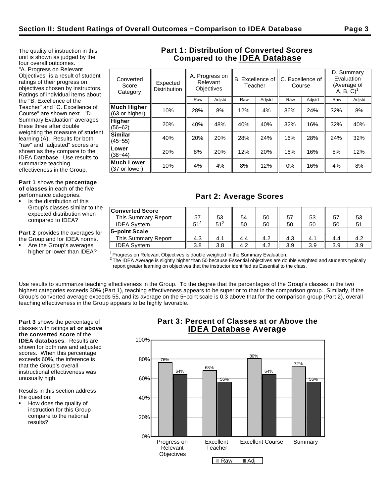The quality of instruction in this unit is shown as judged by the four overall outcomes. "A. Progress on Relevant Objectives" is a result of student ratings of their progress on objectives chosen by instructors. Ratings of individual items about the "B. Excellence of the Teacher" and "C. Excellence of Course" are shown next. "D. Summary Evaluation" averages these three after double weighting the measure of student learning (A). Results for both "raw" and "adjusted" scores are shown as they compare to the IDEA Database. Use results to

**Part 1** shows the **percentage of classes** in each of the five

performance categories.

summarize teaching effectiveness in the Group.

Is the distribution of this Group's classes similar to the expected distribution when compared to IDEA?

**Part 2** provides the averages for the Group and for IDEA norms.

Are the Group's averages higher or lower than IDEA?

# **Part 1: Distribution of Converted Scores Compared to the IDEA Database**

| Converted<br>Score<br>Category     | Expected<br><b>Distribution</b> |     | A. Progress on<br>Relevant<br><b>Objectives</b> | B. Excellence of<br>Teacher |        | C. Excellence of<br>Course |        | Evaluation<br>$A, B, C$ <sup>1</sup> | D. Summary<br>(Average of |
|------------------------------------|---------------------------------|-----|-------------------------------------------------|-----------------------------|--------|----------------------------|--------|--------------------------------------|---------------------------|
|                                    |                                 | Raw | Adjstd                                          | Raw                         | Adjstd | Raw                        | Adjstd | Raw                                  | Adjstd                    |
| Much Higher<br>(63 or higher)      | 10%                             | 28% | 8%                                              | 12%                         | 4%     | 36%                        | 24%    | 32%                                  | 8%                        |
| Higher<br>$(56 - 62)$              | 20%                             | 40% | 48%                                             | 40%                         | 40%    | 32%                        | 16%    | 32%                                  | 40%                       |
| Similar<br>$(45 - 55)$             | 40%                             | 20% | 20%                                             | 28%                         | 24%    | 16%                        | 28%    | 24%                                  | 32%                       |
| Lower<br>$(38 - 44)$               | 20%                             | 8%  | 20%                                             | 12%                         | 20%    | 16%                        | 16%    | 8%                                   | 12%                       |
| <b>Much Lower</b><br>(37 or lower) | 10%                             | 4%  | 4%                                              | 8%                          | 12%    | $0\%$                      | 16%    | 4%                                   | 8%                        |
|                                    |                                 |     |                                                 |                             |        |                            |        |                                      |                           |

# **Part 2: Average Scores**

| <b>Converted Score</b><br>This Summary Report | 57  | 53              | 54  | 50  | 57  | 53  | 57  | 53  |
|-----------------------------------------------|-----|-----------------|-----|-----|-----|-----|-----|-----|
| <b>IDEA System</b>                            | 51' | 51 <sup>2</sup> | 50  | 50  | 50  | 50  | 50  |     |
| 5-point Scale                                 |     |                 |     |     |     |     |     |     |
| This Summary Report                           | 4.3 | 4.1             | 4.4 | 4.2 | 4.3 | 4.1 | 4.4 | 4.2 |
| <b>IDEA System</b>                            | 3.8 | 3.8             | 4.2 | 4.2 | 3.9 | 3.9 | 3.9 | 3.9 |

 $1$ Progress on Relevant Objectives is double weighted in the Summary Evaluation.

 $^2$  The IDEA Average is slightly higher than 50 because Essential objectives are double weighted and students typically report greater learning on objectives that the instructor identified as Essential to the class.

Use results to summarize teaching effectiveness in the Group. To the degree that the percentages of the Group's classes in the two highest categories exceeds 30% (Part 1), teaching effectiveness appears to be superior to that in the comparison group. Similarly, if the Group's converted average exceeds 55, and its average on the 5−point scale is 0.3 above that for the comparison group (Part 2), overall teaching effectiveness in the Group appears to be highly favorable.

**Part 3** shows the percentage of classes with ratings **at or above the converted score** of the **IDEA databases**. Results are shown for both raw and adjusted scores. When this percentage exceeds 60%, the inference is that the Group's overall instructional effectiveness was unusually high.

Results in this section address the question:

How does the quality of instruction for this Group compare to the national results?

# **Part 3: Percent of Classes at or Above the IDEA Database Average**

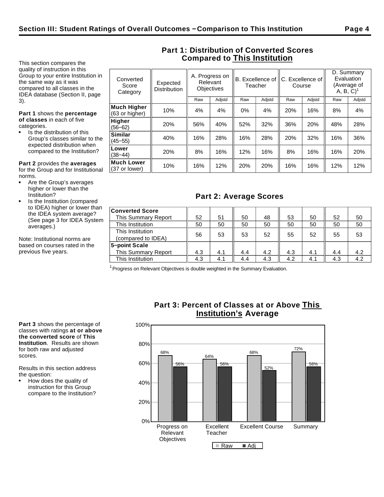This section compares the quality of instruction in this Group to your entire Institution in the same way as it was compared to all classes in the IDEA database (Section II, page 3).

**Part 1** shows the **percentage of classes** in each of five categories.

Is the distribution of this Group's classes similar to the expected distribution when compared to the Institution?

**Similar**<br>(45–55)

**Lower**<br>(38–44)

**Much Lower**

**Part 2** provides the **averages** for the Group and for Institutional norms.

- Are the Group's averages higher or lower than the Institution?
- Is the Institution (compared to IDEA) higher or lower than the IDEA system average? (See page 3 for IDEA System averages.)

Note: Institutional norms are based on courses rated in the previous five years.

| Converted<br>Score<br>Category       | Expected<br><b>Distribution</b> |     | A. Progress on<br>Relevant<br><b>Objectives</b> | B. Excellence of IC. Excellence of<br>Teacher |        |     |        | Course |        | D. Summary<br>Evaluation<br>A, B, C) | (Average of |
|--------------------------------------|---------------------------------|-----|-------------------------------------------------|-----------------------------------------------|--------|-----|--------|--------|--------|--------------------------------------|-------------|
|                                      |                                 | Raw | Adjstd                                          | Raw                                           | Adjstd | Raw | Adjstd | Raw    | Adjstd |                                      |             |
| <b>Much Higher</b><br>(63 or higher) | 10%                             | 4%  | 4%                                              | $0\%$                                         | 4%     | 20% | 16%    | 8%     | 4%     |                                      |             |
| <b>Higher</b><br>$(56 - 62)$         | 20%                             | 56% | 40%                                             | 52%                                           | 32%    | 36% | 20%    | 48%    | 28%    |                                      |             |

(45−55) 40% 16% 28% 16% 28% 20% 32% 16% 36%

(38−44) 20% 8% 16% 12% 16% 8% 16% 16% 20%

**Much Lower**  $\begin{array}{|c|c|c|c|c|c|}\n\hline\n(37 \text{ or lower}) & 10\% & 16\% & 16\% \\
\hline\n\end{array}$  16% | 16% | 10% | 12% | 12% | 12% | 12% | 12% | 12% | 12% | 12% | 12% | 12% | 12% | 12% | 12% | 12% | 12% | 12% | 12% | 12% | 12% | 12% | 12% |

**Part 1: Distribution of Converted Scores Compared to This Institution**

# **Part 2: Average Scores**

| <b>Converted Score</b>     |     |     |     |     |     |     |     |     |
|----------------------------|-----|-----|-----|-----|-----|-----|-----|-----|
|                            |     |     |     |     |     |     |     |     |
| This Summary Report        | 52  | 51  | 50  | 48  | 53  | 50  | 52  | 50  |
| This Institution           | 50  | 50  | 50  | 50  | 50  | 50  | 50  | 50  |
| This Institution           |     |     |     | 52  |     |     |     |     |
| (compared to IDEA)         | 56  | 53  | 53  |     | 55  | 52  | 55  | 53  |
| 5-point Scale              |     |     |     |     |     |     |     |     |
| <b>This Summary Report</b> | 4.3 | 4.1 | 4.4 | 4.2 | 4.3 | 4.1 | 4.4 | 4.2 |
| This Institution           | 4.3 | 4.1 | 4.4 | 4.3 | 4.2 | 4.1 | 4.3 | 4.2 |

 $1$  Progress on Relevant Objectives is double weighted in the Summary Evaluation.

**Part 3** shows the percentage of classes with ratings **at or above the converted score** of **This Institution**. Results are shown for both raw and adjusted scores.

Results in this section address the question:

How does the quality of instruction for this Group compare to the Institution?

# **Part 3: Percent of Classes at or Above This Institution's Average**

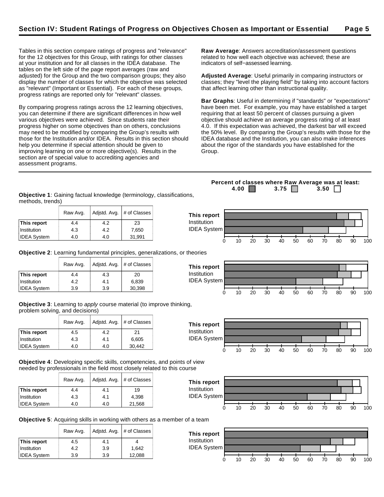Tables in this section compare ratings of progress and "relevance" for the 12 objectives for this Group, with ratings for other classes at your institution and for all classes in the IDEA database. The tables on the left side of the page report averages (raw and adjusted) for the Group and the two comparison groups; they also display the number of classes for which the objective was selected as "relevant" (Important or Essential). For each of these groups, progress ratings are reported only for "relevant" classes.

By comparing progress ratings across the 12 learning objectives, you can determine if there are significant differences in how well various objectives were achieved. Since students rate their progress higher on some objectives than on others, conclusions may need to be modified by comparing the Group's results with those for the Institution and/or IDEA. Results in this section should help you determine if special attention should be given to improving learning on one or more objective(s). Results in the section are of special value to accrediting agencies and assessment programs.

**Raw Average**: Answers accreditation/assessment questions related to how well each objective was achieved; these are indicators of self−assessed learning.

**Adjusted Average**: Useful primarily in comparing instructors or classes; they "level the playing field" by taking into account factors that affect learning other than instructional quality.

**Bar Graphs**: Useful in determining if "standards" or "expectations" have been met. For example, you may have established a target requiring that at least 50 percent of classes pursuing a given objective should achieve an average progress rating of at least 4.0. If this expectation was achieved, the darkest bar will exceed the 50% level. By comparing the Group's results with those for the IDEA database and the Institution, you can also make inferences about the rigor of the standards you have established for the Group.

**Objective 1**: Gaining factual knowledge (terminology, classifications, methods, trends)

|                    | Raw Avg. |     | Adjstd. Avg. $#$ of Classes | This report        |    |    |    |    |    |    |    |    |    |     |
|--------------------|----------|-----|-----------------------------|--------------------|----|----|----|----|----|----|----|----|----|-----|
| This report        | 4.4      | 4.2 | 23                          | Institution        |    |    |    |    |    |    |    |    |    |     |
| Institution        | 4.3      | 4.2 | 7,650                       | <b>IDEA System</b> |    |    |    |    |    |    |    |    |    |     |
| <b>IDEA System</b> | 4.0      | 4.0 | 31,991                      |                    | 10 | 20 | 30 | 40 | 50 | 60 | 70 | 80 | 90 | 100 |

**This report** Institution IDEA System

**Objective 2**: Learning fundamental principles, generalizations, or theories

|                    | Raw Avg. | Adjstd. Avg. | # of Classes |
|--------------------|----------|--------------|--------------|
| This report        | 4.4      | 4.3          | 20           |
| Institution        | 4.2      | 4.1          | 6,839        |
| <b>IDEA System</b> | 3.9      | 3.9          | 30,398       |

**Objective 3**: Learning to apply course material (to improve thinking, problem solving, and decisions)

|                    | Raw Avg. | Adjstd. Avg. | # of Classes |
|--------------------|----------|--------------|--------------|
| This report        | 4.5      | 4.2          | 21           |
| Institution        | 4.3      | 4.1          | 6,605        |
| <b>IDEA System</b> | 4.0      | 4.0          | 30,442       |

**Objective 4**: Developing specific skills, competencies, and points of view needed by professionals in the field most closely related to this course

|                    | Raw Avg. | Adjstd. Avg. | # of Classes |
|--------------------|----------|--------------|--------------|
| This report        | 4.4      | 4.1          | 19           |
| Institution        | 4.3      | 4.1          | 4.398        |
| <b>IDEA System</b> | 4.0      | 4.0          | 21,568       |



0 10 20 30 40 50 60 70 80 90 100

0 10 20 30 40 50 60 70 80 90 100

**Objective 5**: Acquiring skills in working with others as a member of a team

|                    | Raw Avg. | Adjstd. Avg. | # of Classes |
|--------------------|----------|--------------|--------------|
| This report        | 4.5      | 4.1          |              |
| Institution        | 4.2      | 3.9          | 1.642        |
| <b>IDEA System</b> | 3.9      | 3.9          | 12,088       |



**Percent of classes where Raw Average was at least: 4.00 3.75 3.50** 



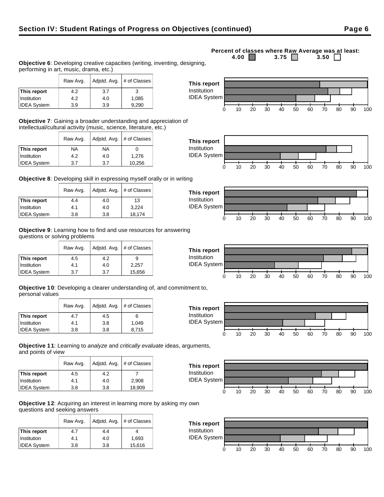## Raw Avg.  $\vert$  Adjstd. Avg.  $\vert \#$  of Classes **This report**  $\begin{array}{|c|c|c|c|} \hline \end{array}$  4.2  $\begin{array}{|c|c|c|} \hline \end{array}$  3.7  $\begin{array}{|c|c|c|} \hline \end{array}$  3

**Objective 6**: Developing creative capacities (writing, inventing, designing,

**Objective 7**: Gaining a broader understanding and appreciation of intellectual/cultural activity (music, science, literature, etc.)

|                    | Raw Avg. | Adjstd. Avg. | # of Classes |
|--------------------|----------|--------------|--------------|
| This report        | NA       | NA           |              |
| Institution        | 4.2      | 4.0          | 1,276        |
| <b>IDEA System</b> | 3.7      | 3.7          | 10,256       |

Institution | 4.2 | 4.0 | 1,085  $IDEA System$   $3.9$   $3.9$   $3.9$  9,290

performing in art, music, drama, etc.)

**Objective 8**: Developing skill in expressing myself orally or in writing

|                    | Raw Avg. | Adjstd. Avg. | # of Classes |
|--------------------|----------|--------------|--------------|
| This report        | 4.4      | 4.0          | 13           |
| Institution        | 4.1      | 4.0          | 3,224        |
| <b>IDEA System</b> | 3.8      | 3.8          | 18,174       |

**Objective 9**: Learning how to find and use resources for answering questions or solving problems

|                    | Raw Avg. | Adjstd. Avg. | # of Classes |
|--------------------|----------|--------------|--------------|
| This report        | 4.5      | 4.2          | 9            |
| Institution        | 4.1      | 4.0          | 2,257        |
| <b>IDEA System</b> | 3.7      | 3.7          | 15,656       |

**Objective 10**: Developing a clearer understanding of, and commitment to, personal values

|                    | Raw Avg. | Adjstd. Avg.<br># of Classes |       |
|--------------------|----------|------------------------------|-------|
| This report        | 4.7      | 4.5                          | 6     |
| Institution        | 4.1      | 3.8                          | 1.049 |
| <b>IDEA System</b> | 3.8      | 3.8                          | 8.715 |

**Objective 11**: Learning to analyze and critically evaluate ideas, arguments, and points of view

|                    | Raw Avg. | Adjstd. Avg. | # of Classes |
|--------------------|----------|--------------|--------------|
| This report        | 4.5      | 4.2          |              |
| Institution        | 4.1      | 4.0          | 2,908        |
| <b>IDEA System</b> | 3.8      | 3.8          | 18,909       |

**Objective 12**: Acquiring an interest in learning more by asking my own questions and seeking answers

|                    | Raw Avg. | Adjstd. Avg. | # of Classes |
|--------------------|----------|--------------|--------------|
| This report        | 4.7      | 4.4          |              |
| Institution        | 4.1      | 4.0          | 1.693        |
| <b>IDEA System</b> | 3.8      | 3.8          | 15,616       |

#### **Percent of classes where Raw Average was at least:**<br>4.00 3.75 3.50 3.50 3.75  $\Box$















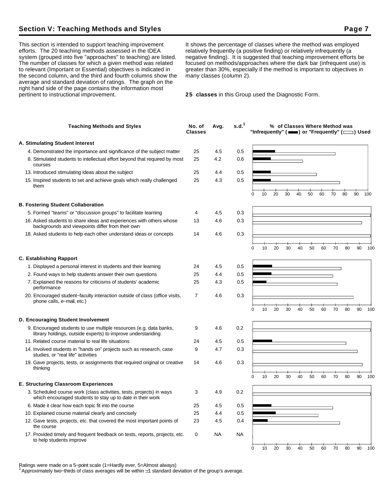# **Section V: Teaching Methods and Styles Page 7**

This section is intended to support teaching improvement efforts. The 20 teaching methods assessed in the IDEA system (grouped into five "approaches" to teaching) are listed. The number of classes for which a given method was related to relevant (Important or Essential) objectives is indicated in the second column, and the third and fourth columns show the average and standard deviation of ratings. The graph on the right hand side of the page contains the information most pertinent to instructional improvement.

It shows the percentage of classes where the method was employed relatively frequently (a positive finding) or relatively infrequently (a negative finding). It is suggested that teaching improvement efforts be focused on methods/approaches where the dark bar (infrequent use) is greater than 30%, especially if the method is important to objectives in many classes (column 2).

**25 classes** in this Group used the Diagnostic Form.

| <b>Teaching Methods and Styles</b>                                                                                                                                                         | No. of<br>Classes | Avg.       | s.d. <sup>1</sup> |          |    |    |    | % of Classes Where Method was |    |    |    |    | "Infrequently" ( $\equiv$ ) or "Frequently" ( $\equiv$ ) Used |        |
|--------------------------------------------------------------------------------------------------------------------------------------------------------------------------------------------|-------------------|------------|-------------------|----------|----|----|----|-------------------------------|----|----|----|----|---------------------------------------------------------------|--------|
| A. Stimulating Student Interest                                                                                                                                                            |                   |            |                   |          |    |    |    |                               |    |    |    |    |                                                               |        |
| 4. Demonstrated the importance and significance of the subject matter                                                                                                                      | 25                | 4.5        | 0.5               |          |    |    |    |                               |    |    |    |    |                                                               |        |
| 8. Stimulated students to intellectual effort beyond that required by most<br>courses                                                                                                      | 25                | 4.2        | 0.6               |          |    |    |    |                               |    |    |    |    |                                                               |        |
| 13. Introduced stimulating ideas about the subject                                                                                                                                         | 25                | 4.4        | 0.5               |          |    |    |    |                               |    |    |    |    |                                                               |        |
| 15. Inspired students to set and achieve goals which really challenged<br>them                                                                                                             | 25                | 4.3        | 0.5               | 0        | 10 | 20 | 30 | 40                            | 50 | 60 | 70 | 80 | 90                                                            | 100    |
| <b>B. Fostering Student Collaboration</b>                                                                                                                                                  |                   |            |                   |          |    |    |    |                               |    |    |    |    |                                                               |        |
|                                                                                                                                                                                            |                   |            |                   |          |    |    |    |                               |    |    |    |    |                                                               |        |
| 5. Formed "teams" or "discussion groups" to facilitate learning<br>16. Asked students to share ideas and experiences with others whose<br>backgrounds and viewpoints differ from their own | 4<br>13           | 4.5<br>4.6 | 0.3<br>0.3        |          |    |    |    |                               |    |    |    |    |                                                               |        |
| 18. Asked students to help each other understand ideas or concepts                                                                                                                         | 14                | 4.6        | 0.3               |          |    |    |    |                               |    |    |    |    |                                                               |        |
|                                                                                                                                                                                            |                   |            |                   | $\Omega$ | 10 | 20 | 30 | 40                            | 50 | 60 | 70 | 80 | 90                                                            | 100    |
| <b>C. Establishing Rapport</b>                                                                                                                                                             |                   |            |                   |          |    |    |    |                               |    |    |    |    |                                                               |        |
| 1. Displayed a personal interest in students and their learning                                                                                                                            | 24                | 4.5        | 0.5               |          |    |    |    |                               |    |    |    |    |                                                               |        |
| 2. Found ways to help students answer their own questions                                                                                                                                  | 25                | 4.4        | 0.5               |          |    |    |    |                               |    |    |    |    |                                                               |        |
| 7. Explained the reasons for criticisms of students' academic<br>performance                                                                                                               | 25                | 4.3        | 0.5               |          |    |    |    |                               |    |    |    |    |                                                               |        |
| 20. Encouraged student-faculty interaction outside of class (office visits,<br>phone calls, e-mail, etc.)                                                                                  | 7                 | 4.6        | 0.3               |          |    |    |    |                               |    |    |    |    |                                                               |        |
|                                                                                                                                                                                            |                   |            |                   | 0        | 10 | 20 | 30 | 40                            | 50 | 60 | 70 | 80 | 90                                                            | 100    |
| D. Encouraging Student Involvement                                                                                                                                                         |                   |            |                   |          |    |    |    |                               |    |    |    |    |                                                               |        |
| 9. Encouraged students to use multiple resources (e.g. data banks,<br>library holdings, outside experts) to improve understanding                                                          | 9                 | 4.6        | 0.2               |          |    |    |    |                               |    |    |    |    |                                                               |        |
| 11. Related course material to real life situations                                                                                                                                        | 24                | 4.5        | 0.5               |          |    |    |    |                               |    |    |    |    |                                                               |        |
| 14. Involved students in "hands on" projects such as research, case<br>studies, or "real life" activities                                                                                  | 9                 | 4.7        | 0.3               |          |    |    |    |                               |    |    |    |    |                                                               |        |
| 19. Gave projects, tests, or assignments that required original or creative<br>thinking                                                                                                    | 14                | 4.6        | 0.3               |          |    |    |    |                               |    |    |    |    |                                                               |        |
|                                                                                                                                                                                            |                   |            |                   | 0        | 10 | 20 | 30 | 40                            | 50 | 60 | 70 | 80 | 90                                                            | 100    |
| <b>E. Structuring Classroom Experiences</b>                                                                                                                                                |                   |            |                   |          |    |    |    |                               |    |    |    |    |                                                               |        |
| 3. Scheduled course work (class activities, tests, projects) in ways<br>which encouraged students to stay up to date in their work                                                         | 3                 | 4.9        | 0.2               |          |    |    |    |                               |    |    |    |    |                                                               |        |
| 6. Made it clear how each topic fit into the course                                                                                                                                        | 25                | 4.5        | 0.5               |          |    |    |    |                               |    |    |    |    |                                                               |        |
| 10. Explained course material clearly and concisely                                                                                                                                        | 25                | 4.4        | 0.5               |          |    |    |    |                               |    |    |    |    |                                                               |        |
| 12. Gave tests, projects, etc. that covered the most important points of<br>the course                                                                                                     | 23                | 4.5        | 0.4               |          |    |    |    |                               |    |    |    |    |                                                               |        |
| 17. Provided timely and frequent feedback on tests, reports, projects, etc.<br>to help students improve                                                                                    | 0                 | <b>NA</b>  | <b>NA</b>         |          |    |    |    |                               |    |    |    |    |                                                               |        |
|                                                                                                                                                                                            |                   |            |                   | 0        | 10 | 20 | 30 | 40                            | 50 | 60 | 70 | 80 |                                                               | 90 100 |

Ratings were made on a 5−point scale (1=Hardly ever, 5=Almost always)

<sup>1</sup>Approximately two−thirds of class averages will be within 1 standard deviation of the group's average.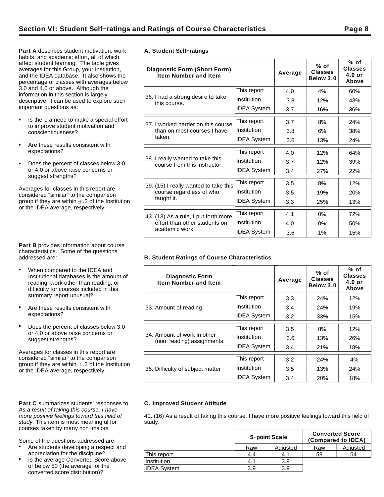**Part A** describes student motivation, work habits, and academic effort, all of which affect student learning. The table gives averages for this Group, your Institution, and the IDEA database. It also shows the percentage of classes with averages below 3.0 and 4.0 or above. Although the information in this section is largely descriptive, it can be used to explore such important questions as:

- Is there a need to make a special effort to improve student motivation and conscientiousness?
- Are these results consistent with expectations?
- Does the percent of classes below 3.0  $\bullet$ or 4.0 or above raise concerns or suggest strengths?

Averages for classes in this report are considered "similar" to the comparison group if they are within  $\pm$  .3 of the Institution or the IDEA average, respectively.

**Part B** provides information about course characteristics. Some of the questions addressed are:

- When compared to the IDEA and Institutional databases is the amount of reading, work other than reading, or difficulty for courses included in this summary report unusual?
- Are these results consistent with expectations?
- Does the percent of classes below 3.0 or 4.0 or above raise concerns or suggest strengths?

Averages for classes in this report are considered "similar" to the comparison group if they are within  $\pm$  .3 of the Institution or the IDEA average, respectively.

#### Part C summarizes students' responses to As a result of taking this course, I have more positive feelings toward this field of study. This item is most meaningful for courses taken by many non−majors.

Some of the questions addressed are:

- Are students developing a respect and appreciation for the discipline?
- Is the average Converted Score above or below 50 (the average for the converted score distribution)?

|  | A. Student Self-ratings |
|--|-------------------------|

| Diagnostic Form (Short Form)<br><b>Item Number and Item</b>      |                    | Average | $%$ of<br><b>Classes</b><br>Below 3.0 | % of<br>Classes<br>$4.0$ or<br>Above |
|------------------------------------------------------------------|--------------------|---------|---------------------------------------|--------------------------------------|
|                                                                  | This report        | 4.0     | 4%                                    | 60%                                  |
| 36. I had a strong desire to take<br>this course.                | Institution        | 3.8     | 12%                                   | 43%                                  |
|                                                                  | <b>IDEA System</b> | 3.7     | 16%                                   | 36%                                  |
| 37. I worked harder on this course                               | This report        | 3.7     | 8%                                    | 24%                                  |
| than on most courses I have                                      | Institution        | 3.8     | 6%                                    | 38%                                  |
| taken.                                                           | <b>IDEA System</b> | 3.6     | 13%                                   | 24%                                  |
|                                                                  | This report        | 4.0     | 12%                                   | 64%                                  |
| 38. I really wanted to take this<br>course from this instructor. | Institution        | 3.7     | 12%                                   | 39%                                  |
|                                                                  | <b>IDEA System</b> | 3.4     | 27%                                   | 22%                                  |
| 39. (15) I really wanted to take this                            | This report        | 3.5     | 8%                                    | 12%                                  |
| course regardless of who                                         | Institution        | 3.5     | 19%                                   | <b>20%</b>                           |
| taught it.                                                       | <b>IDEA System</b> | 3.3     | 25%                                   | 13%                                  |
| 43. (13) As a rule, I put forth more                             | This report        | 4.1     | $0\%$                                 | 72%                                  |
| effort than other students on                                    | Institution        | 4.0     | 0%                                    | 50%                                  |
| academic work.                                                   | <b>IDEA System</b> | 3.6     | 1%                                    | 15%                                  |

## **B. Student Ratings of Course Characteristics**

| <b>Diagnostic Form</b><br><b>Item Number and Item</b>    |                    | Average | $%$ of<br><b>Classes</b><br>Below 3.0 | % of<br><b>Classes</b><br>$4.0$ or<br>Above |
|----------------------------------------------------------|--------------------|---------|---------------------------------------|---------------------------------------------|
|                                                          | This report        | 3.3     | 24%                                   | 12%                                         |
| 33. Amount of reading                                    | Institution        | 3.4     | 24%                                   | 19%                                         |
|                                                          | <b>IDEA System</b> | 3.2     | 33%                                   | 15%                                         |
|                                                          | This report        | 3.5     | 8%                                    | 12%                                         |
| 34. Amount of work in other<br>(non-reading) assignments | Institution        | 3.6     | 13%                                   | 26%                                         |
|                                                          | <b>IDEA System</b> | 3.4     | 21%                                   | 18%                                         |
|                                                          | This report        | 3.2     | 24%                                   | 4%                                          |
| 35. Difficulty of subject matter                         | Institution        | 3.5     | 13%                                   | 24%                                         |
|                                                          | <b>IDEA System</b> | 3.4     | 20%                                   | 18%                                         |

## **C. Improved Student Attitude**

40. (16) As a result of taking this course, I have more positive feelings toward this field of study.

|                    | 5-point Scale |          | <b>Converted Score</b><br>(Compared to IDEA) |          |  |  |
|--------------------|---------------|----------|----------------------------------------------|----------|--|--|
|                    | Raw           | Adjusted | Raw                                          | Adjusted |  |  |
| This report        | 4.4           | 4.1      | 58                                           | 54       |  |  |
| Institution        | 4.1           | 3.9      |                                              |          |  |  |
| <b>IDEA Svstem</b> | 3.9           | 3.9      |                                              |          |  |  |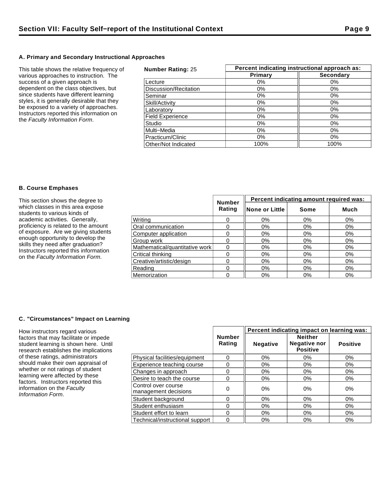## **A. Primary and Secondary Instructional Approaches**

This table shows the relative frequency of various approaches to instruction. The success of a given approach is dependent on the class objectives, but since students have different learning styles, it is generally desirable that they be exposed to a variety of approaches. Instructors reported this information on the Faculty Information Form.

| <b>Number Rating: 25</b> | Percent indicating instructional approach as: |                  |  |  |  |
|--------------------------|-----------------------------------------------|------------------|--|--|--|
|                          | Primary                                       | <b>Secondary</b> |  |  |  |
| Lecture                  | $0\%$                                         | 0%               |  |  |  |
| Discussion/Recitation    | $0\%$                                         | 0%               |  |  |  |
| Seminar                  | 0%                                            | 0%               |  |  |  |
| Skill/Activity           | $0\%$                                         | 0%               |  |  |  |
| Laboratory               | $0\%$                                         | 0%               |  |  |  |
| <b>Field Experience</b>  | $0\%$                                         | 0%               |  |  |  |
| Studio                   | 0%                                            | 0%               |  |  |  |
| Multi-Media              | $0\%$                                         | 0%               |  |  |  |
| Practicum/Clinic         | 0%                                            | $0\%$            |  |  |  |
| Other/Not Indicated      | 100%                                          | 100%             |  |  |  |

### **B. Course Emphases**

| This section shows the degree to                                          |                                | <b>Number</b> | Percent indicating amount required was: |       |       |  |  |
|---------------------------------------------------------------------------|--------------------------------|---------------|-----------------------------------------|-------|-------|--|--|
| which classes in this area expose<br>students to various kinds of         |                                | Rating        | ∥None or Little                         | Some  | Much  |  |  |
| academic activities. Generally,                                           | Writina                        |               | 0%                                      | 0%    | 0%    |  |  |
| proficiency is related to the amount                                      | Oral communication             |               | 0%                                      | 0%    | 0%    |  |  |
| of exposure. Are we giving students                                       | Computer application           |               | $0\%$                                   | 0%    | 0%    |  |  |
| enough opportunity to develop the                                         | Group work                     |               | 0%                                      | $0\%$ | $0\%$ |  |  |
| skills they need after graduation?                                        | Mathematical/quantitative work |               | 0%                                      | $0\%$ | 0%    |  |  |
| Instructors reported this information<br>on the Faculty Information Form. | Critical thinking              |               | 0%                                      | 0%    | $0\%$ |  |  |
|                                                                           | Creative/artistic/design       |               | 0%                                      | 0%    | 0%    |  |  |
|                                                                           | Reading                        |               | 0%                                      | $0\%$ | 0%    |  |  |
|                                                                           | Memorization                   |               | 0%                                      | $0\%$ | 0%    |  |  |

## **C. "Circumstances" Impact on Learning**

How instructors regard various factors that may facilitate or impede student learning is shown here. Until research establishes the implications of these ratings, administrators should make their own appraisal of whether or not ratings of student learning were affected by these factors. Instructors reported this information on the Faculty Information Form.

|                                             |                         | Percent indicating impact on learning was: |                                                          |                 |  |
|---------------------------------------------|-------------------------|--------------------------------------------|----------------------------------------------------------|-----------------|--|
|                                             | <b>Number</b><br>Rating | <b>Negative</b>                            | <b>Neither</b><br><b>Negative nor</b><br><b>Positive</b> | <b>Positive</b> |  |
| Physical facilities/equipment               | 0                       | 0%                                         | $0\%$                                                    | 0%              |  |
| Experience teaching course                  | 0                       | 0%                                         | 0%                                                       | 0%              |  |
| Changes in approach                         | 0                       | $0\%$                                      | 0%                                                       | 0%              |  |
| Desire to teach the course                  | 0                       | $0\%$                                      | $0\%$                                                    | $0\%$           |  |
| Control over course<br>management decisions | 0                       | $0\%$                                      | 0%                                                       | 0%              |  |
| Student background                          | 0                       | 0%                                         | 0%                                                       | $0\%$           |  |
| Student enthusiasm                          | 0                       | $0\%$                                      | $0\%$                                                    | 0%              |  |
| Student effort to learn                     | 0                       | 0%                                         | 0%                                                       | 0%              |  |
| Technical/instructional support             | 0                       | 0%                                         | $0\%$                                                    | 0%              |  |